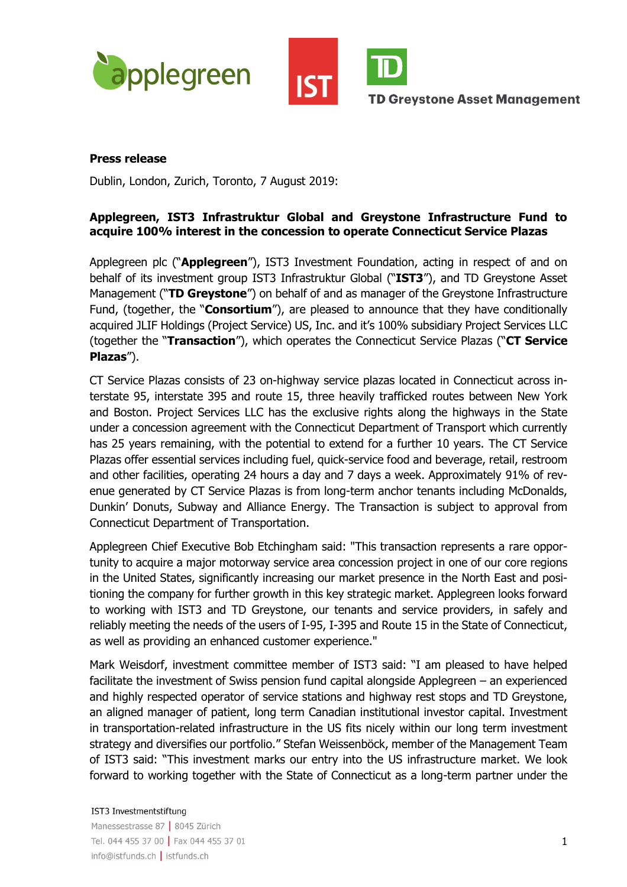



**TD Greystone Asset Management** 

## **Press release**

Dublin, London, Zurich, Toronto, 7 August 2019:

# **Applegreen, IST3 Infrastruktur Global and Greystone Infrastructure Fund to acquire 100% interest in the concession to operate Connecticut Service Plazas**

Applegreen plc ("**Applegreen**"), IST3 Investment Foundation, acting in respect of and on behalf of its investment group IST3 Infrastruktur Global ("**IST3**"), and TD Greystone Asset Management ("**TD Greystone**") on behalf of and as manager of the Greystone Infrastructure Fund, (together, the "**Consortium**"), are pleased to announce that they have conditionally acquired JLIF Holdings (Project Service) US, Inc. and it's 100% subsidiary Project Services LLC (together the "**Transaction**"), which operates the Connecticut Service Plazas ("**CT Service Plazas**").

CT Service Plazas consists of 23 on-highway service plazas located in Connecticut across interstate 95, interstate 395 and route 15, three heavily trafficked routes between New York and Boston. Project Services LLC has the exclusive rights along the highways in the State under a concession agreement with the Connecticut Department of Transport which currently has 25 years remaining, with the potential to extend for a further 10 years. The CT Service Plazas offer essential services including fuel, quick-service food and beverage, retail, restroom and other facilities, operating 24 hours a day and 7 days a week. Approximately 91% of revenue generated by CT Service Plazas is from long-term anchor tenants including McDonalds, Dunkin' Donuts, Subway and Alliance Energy. The Transaction is subject to approval from Connecticut Department of Transportation.

Applegreen Chief Executive Bob Etchingham said: "This transaction represents a rare opportunity to acquire a major motorway service area concession project in one of our core regions in the United States, significantly increasing our market presence in the North East and positioning the company for further growth in this key strategic market. Applegreen looks forward to working with IST3 and TD Greystone, our tenants and service providers, in safely and reliably meeting the needs of the users of I-95, I-395 and Route 15 in the State of Connecticut, as well as providing an enhanced customer experience."

Mark Weisdorf, investment committee member of IST3 said: "I am pleased to have helped facilitate the investment of Swiss pension fund capital alongside Applegreen – an experienced and highly respected operator of service stations and highway rest stops and TD Greystone, an aligned manager of patient, long term Canadian institutional investor capital. Investment in transportation-related infrastructure in the US fits nicely within our long term investment strategy and diversifies our portfolio." Stefan Weissenböck, member of the Management Team of IST3 said: "This investment marks our entry into the US infrastructure market. We look forward to working together with the State of Connecticut as a long-term partner under the

#### IST3 Investmentstiftung

Manessestrasse 87 | 8045 Zürich Tel. 044 455 37 00 | Fax 044 455 37 01 info@istfunds.ch | istfunds.ch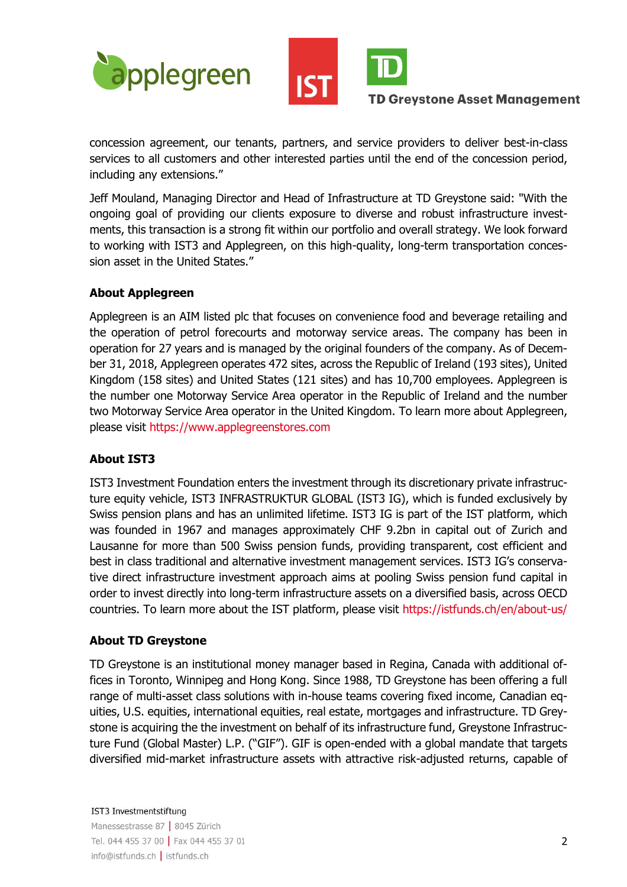



## **TD Greystone Asset Management**

concession agreement, our tenants, partners, and service providers to deliver best-in-class services to all customers and other interested parties until the end of the concession period, including any extensions."

Jeff Mouland, Managing Director and Head of Infrastructure at TD Greystone said: "With the ongoing goal of providing our clients exposure to diverse and robust infrastructure investments, this transaction is a strong fit within our portfolio and overall strategy. We look forward to working with IST3 and Applegreen, on this high-quality, long-term transportation concession asset in the United States."

# **About Applegreen**

Applegreen is an AIM listed plc that focuses on convenience food and beverage retailing and the operation of petrol forecourts and motorway service areas. The company has been in operation for 27 years and is managed by the original founders of the company. As of December 31, 2018, Applegreen operates 472 sites, across the Republic of Ireland (193 sites), United Kingdom (158 sites) and United States (121 sites) and has 10,700 employees. Applegreen is the number one Motorway Service Area operator in the Republic of Ireland and the number two Motorway Service Area operator in the United Kingdom. To learn more about Applegreen, please visit https://www.applegreenstores.com

# **About IST3**

IST3 Investment Foundation enters the investment through its discretionary private infrastructure equity vehicle, IST3 INFRASTRUKTUR GLOBAL (IST3 IG), which is funded exclusively by Swiss pension plans and has an unlimited lifetime. IST3 IG is part of the IST platform, which was founded in 1967 and manages approximately CHF 9.2bn in capital out of Zurich and Lausanne for more than 500 Swiss pension funds, providing transparent, cost efficient and best in class traditional and alternative investment management services. IST3 IG's conservative direct infrastructure investment approach aims at pooling Swiss pension fund capital in order to invest directly into long-term infrastructure assets on a diversified basis, across OECD countries. To learn more about the IST platform, please visit https://istfunds.ch/en/about-us/

## **About TD Greystone**

TD Greystone is an institutional money manager based in Regina, Canada with additional offices in Toronto, Winnipeg and Hong Kong. Since 1988, TD Greystone has been offering a full range of multi-asset class solutions with in-house teams covering fixed income, Canadian equities, U.S. equities, international equities, real estate, mortgages and infrastructure. TD Greystone is acquiring the the investment on behalf of its infrastructure fund, Greystone Infrastructure Fund (Global Master) L.P. ("GIF"). GIF is open-ended with a global mandate that targets diversified mid-market infrastructure assets with attractive risk-adjusted returns, capable of